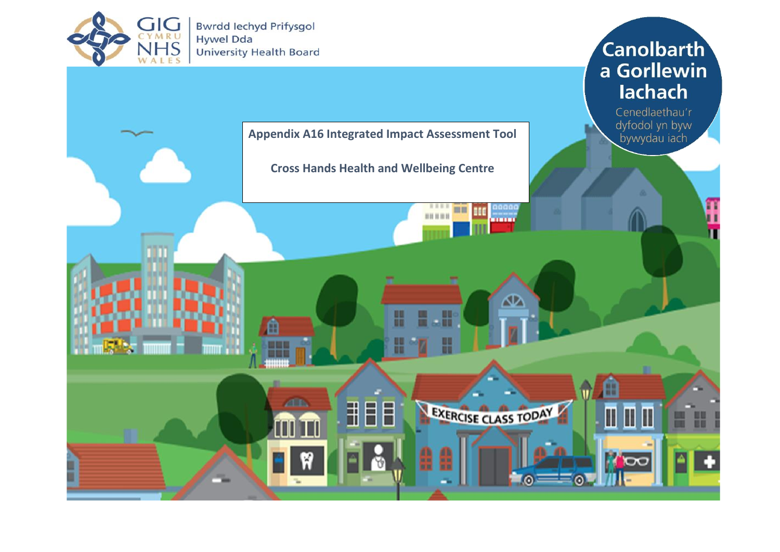

**Bwrdd lechyd Prifysgol** Hywel Dda **University Health Board** 

## **Canolbarth** a Gorllewin lachach

Cenedlaethau'r dyfodol yn byw bywydau iach

П

 $\overline{\mathbf{C}}$ 

 $\bullet$ 



**Cross Hands Health and Wellbeing Centre**

333

00000

mm ш

an m

ው

EXERCISE CLASS TODAY

⋒



HEE

 $\sqrt{2}$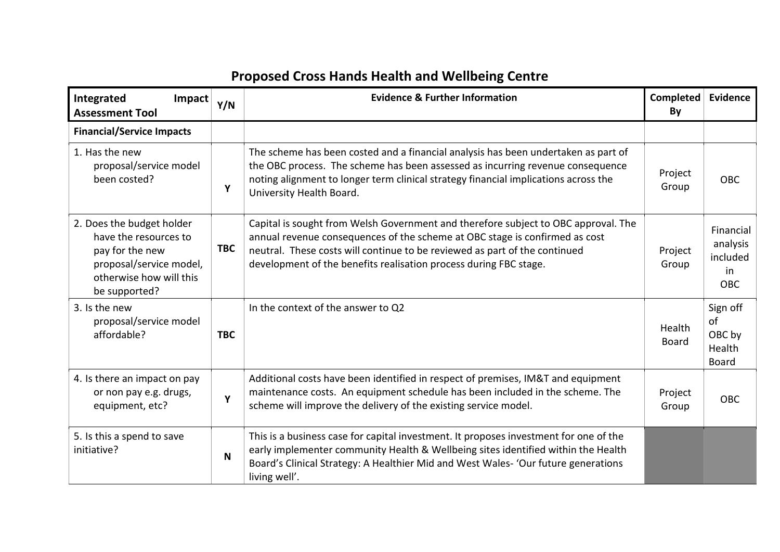## **Proposed Cross Hands Health and Wellbeing Centre**

| Integrated<br>Impact<br><b>Assessment Tool</b>                                                                                               | Y/N        | <b>Evidence &amp; Further Information</b>                                                                                                                                                                                                                                                                            | Completed<br>By        | <b>Evidence</b>                                       |
|----------------------------------------------------------------------------------------------------------------------------------------------|------------|----------------------------------------------------------------------------------------------------------------------------------------------------------------------------------------------------------------------------------------------------------------------------------------------------------------------|------------------------|-------------------------------------------------------|
| <b>Financial/Service Impacts</b>                                                                                                             |            |                                                                                                                                                                                                                                                                                                                      |                        |                                                       |
| 1. Has the new<br>proposal/service model<br>been costed?                                                                                     | Υ          | The scheme has been costed and a financial analysis has been undertaken as part of<br>the OBC process. The scheme has been assessed as incurring revenue consequence<br>noting alignment to longer term clinical strategy financial implications across the<br>University Health Board.                              | Project<br>Group       | OBC                                                   |
| 2. Does the budget holder<br>have the resources to<br>pay for the new<br>proposal/service model,<br>otherwise how will this<br>be supported? | <b>TBC</b> | Capital is sought from Welsh Government and therefore subject to OBC approval. The<br>annual revenue consequences of the scheme at OBC stage is confirmed as cost<br>neutral. These costs will continue to be reviewed as part of the continued<br>development of the benefits realisation process during FBC stage. | Project<br>Group       | Financial<br>analysis<br>included<br>in<br><b>OBC</b> |
| 3. Is the new<br>proposal/service model<br>affordable?                                                                                       | <b>TBC</b> | In the context of the answer to Q2                                                                                                                                                                                                                                                                                   | Health<br><b>Board</b> | Sign off<br>of<br>OBC by<br>Health<br><b>Board</b>    |
| 4. Is there an impact on pay<br>or non pay e.g. drugs,<br>equipment, etc?                                                                    | Υ          | Additional costs have been identified in respect of premises, IM&T and equipment<br>maintenance costs. An equipment schedule has been included in the scheme. The<br>scheme will improve the delivery of the existing service model.                                                                                 | Project<br>Group       | <b>OBC</b>                                            |
| 5. Is this a spend to save<br>initiative?                                                                                                    | N          | This is a business case for capital investment. It proposes investment for one of the<br>early implementer community Health & Wellbeing sites identified within the Health<br>Board's Clinical Strategy: A Healthier Mid and West Wales- 'Our future generations<br>living well'.                                    |                        |                                                       |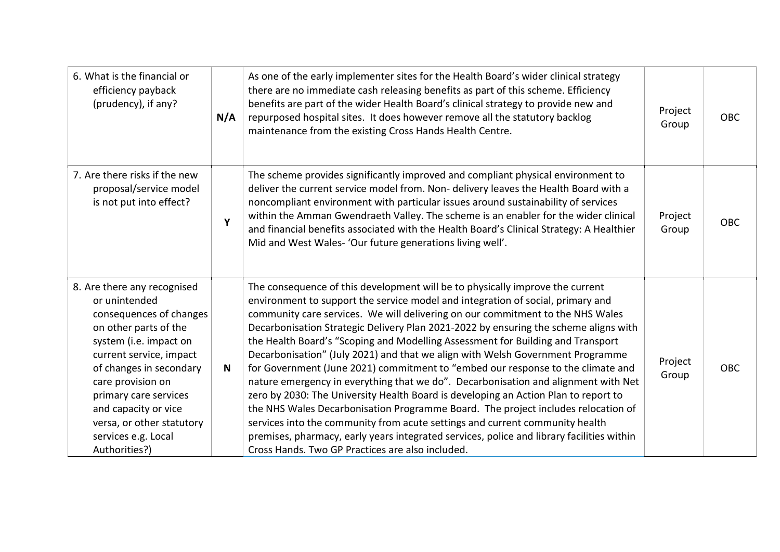| 6. What is the financial or<br>efficiency payback<br>(prudency), if any?                                                                                                                                                                                                                                                    | N/A | As one of the early implementer sites for the Health Board's wider clinical strategy<br>there are no immediate cash releasing benefits as part of this scheme. Efficiency<br>benefits are part of the wider Health Board's clinical strategy to provide new and<br>repurposed hospital sites. It does however remove all the statutory backlog<br>maintenance from the existing Cross Hands Health Centre.                                                                                                                                                                                                                                                                                                                                                                                                                                                                                                                                                                                                                                                                                            | Project<br>Group | <b>OBC</b> |
|-----------------------------------------------------------------------------------------------------------------------------------------------------------------------------------------------------------------------------------------------------------------------------------------------------------------------------|-----|-------------------------------------------------------------------------------------------------------------------------------------------------------------------------------------------------------------------------------------------------------------------------------------------------------------------------------------------------------------------------------------------------------------------------------------------------------------------------------------------------------------------------------------------------------------------------------------------------------------------------------------------------------------------------------------------------------------------------------------------------------------------------------------------------------------------------------------------------------------------------------------------------------------------------------------------------------------------------------------------------------------------------------------------------------------------------------------------------------|------------------|------------|
| 7. Are there risks if the new<br>proposal/service model<br>is not put into effect?                                                                                                                                                                                                                                          | Y   | The scheme provides significantly improved and compliant physical environment to<br>deliver the current service model from. Non- delivery leaves the Health Board with a<br>noncompliant environment with particular issues around sustainability of services<br>within the Amman Gwendraeth Valley. The scheme is an enabler for the wider clinical<br>and financial benefits associated with the Health Board's Clinical Strategy: A Healthier<br>Mid and West Wales- 'Our future generations living well'.                                                                                                                                                                                                                                                                                                                                                                                                                                                                                                                                                                                         | Project<br>Group | <b>OBC</b> |
| 8. Are there any recognised<br>or unintended<br>consequences of changes<br>on other parts of the<br>system (i.e. impact on<br>current service, impact<br>of changes in secondary<br>care provision on<br>primary care services<br>and capacity or vice<br>versa, or other statutory<br>services e.g. Local<br>Authorities?) | N   | The consequence of this development will be to physically improve the current<br>environment to support the service model and integration of social, primary and<br>community care services. We will delivering on our commitment to the NHS Wales<br>Decarbonisation Strategic Delivery Plan 2021-2022 by ensuring the scheme aligns with<br>the Health Board's "Scoping and Modelling Assessment for Building and Transport<br>Decarbonisation" (July 2021) and that we align with Welsh Government Programme<br>for Government (June 2021) commitment to "embed our response to the climate and<br>nature emergency in everything that we do". Decarbonisation and alignment with Net<br>zero by 2030: The University Health Board is developing an Action Plan to report to<br>the NHS Wales Decarbonisation Programme Board. The project includes relocation of<br>services into the community from acute settings and current community health<br>premises, pharmacy, early years integrated services, police and library facilities within<br>Cross Hands. Two GP Practices are also included. | Project<br>Group | <b>OBC</b> |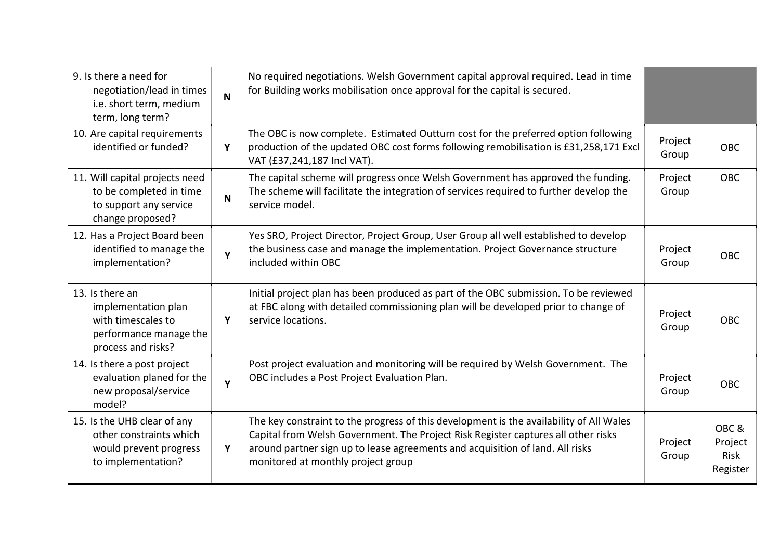| 9. Is there a need for<br>negotiation/lead in times<br>i.e. short term, medium<br>term, long term?           | $\mathbf N$ | No required negotiations. Welsh Government capital approval required. Lead in time<br>for Building works mobilisation once approval for the capital is secured.                                                                                                                                     |                  |                                     |
|--------------------------------------------------------------------------------------------------------------|-------------|-----------------------------------------------------------------------------------------------------------------------------------------------------------------------------------------------------------------------------------------------------------------------------------------------------|------------------|-------------------------------------|
| 10. Are capital requirements<br>identified or funded?                                                        | Y           | The OBC is now complete. Estimated Outturn cost for the preferred option following<br>production of the updated OBC cost forms following remobilisation is £31,258,171 Excl<br>VAT (£37,241,187 Incl VAT).                                                                                          | Project<br>Group | <b>OBC</b>                          |
| 11. Will capital projects need<br>to be completed in time<br>to support any service<br>change proposed?      | N           | The capital scheme will progress once Welsh Government has approved the funding.<br>The scheme will facilitate the integration of services required to further develop the<br>service model.                                                                                                        | Project<br>Group | <b>OBC</b>                          |
| 12. Has a Project Board been<br>identified to manage the<br>implementation?                                  | Y           | Yes SRO, Project Director, Project Group, User Group all well established to develop<br>the business case and manage the implementation. Project Governance structure<br>included within OBC                                                                                                        | Project<br>Group | <b>OBC</b>                          |
| 13. Is there an<br>implementation plan<br>with timescales to<br>performance manage the<br>process and risks? | Y           | Initial project plan has been produced as part of the OBC submission. To be reviewed<br>at FBC along with detailed commissioning plan will be developed prior to change of<br>service locations.                                                                                                    | Project<br>Group | <b>OBC</b>                          |
| 14. Is there a post project<br>evaluation planed for the<br>new proposal/service<br>model?                   | Y           | Post project evaluation and monitoring will be required by Welsh Government. The<br>OBC includes a Post Project Evaluation Plan.                                                                                                                                                                    | Project<br>Group | <b>OBC</b>                          |
| 15. Is the UHB clear of any<br>other constraints which<br>would prevent progress<br>to implementation?       | Y           | The key constraint to the progress of this development is the availability of All Wales<br>Capital from Welsh Government. The Project Risk Register captures all other risks<br>around partner sign up to lease agreements and acquisition of land. All risks<br>monitored at monthly project group | Project<br>Group | OBC&<br>Project<br>Risk<br>Register |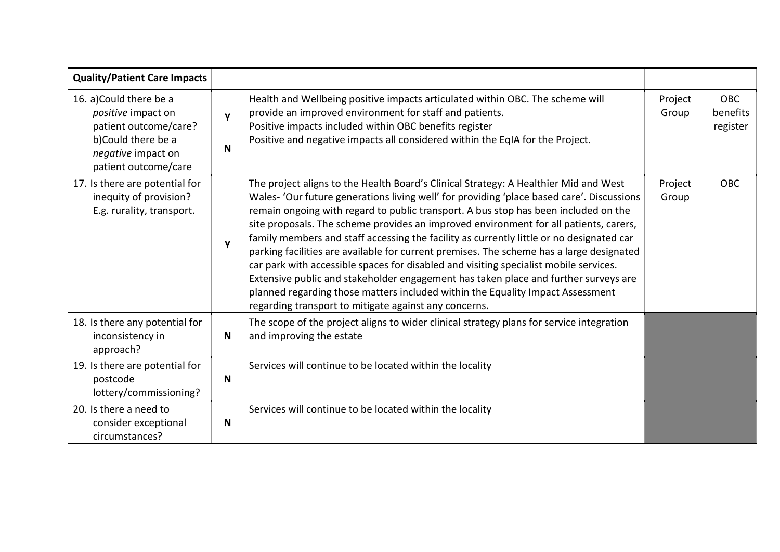| <b>Quality/Patient Care Impacts</b>                                                                                                       |        |                                                                                                                                                                                                                                                                                                                                                                                                                                                                                                                                                                                                                                                                                                                                                                                                                                                                                      |                  |                                    |
|-------------------------------------------------------------------------------------------------------------------------------------------|--------|--------------------------------------------------------------------------------------------------------------------------------------------------------------------------------------------------------------------------------------------------------------------------------------------------------------------------------------------------------------------------------------------------------------------------------------------------------------------------------------------------------------------------------------------------------------------------------------------------------------------------------------------------------------------------------------------------------------------------------------------------------------------------------------------------------------------------------------------------------------------------------------|------------------|------------------------------------|
| 16. a)Could there be a<br>positive impact on<br>patient outcome/care?<br>b)Could there be a<br>negative impact on<br>patient outcome/care | Y<br>N | Health and Wellbeing positive impacts articulated within OBC. The scheme will<br>provide an improved environment for staff and patients.<br>Positive impacts included within OBC benefits register<br>Positive and negative impacts all considered within the EqIA for the Project.                                                                                                                                                                                                                                                                                                                                                                                                                                                                                                                                                                                                  | Project<br>Group | <b>OBC</b><br>benefits<br>register |
| 17. Is there are potential for<br>inequity of provision?<br>E.g. rurality, transport.                                                     | Y      | The project aligns to the Health Board's Clinical Strategy: A Healthier Mid and West<br>Wales- 'Our future generations living well' for providing 'place based care'. Discussions<br>remain ongoing with regard to public transport. A bus stop has been included on the<br>site proposals. The scheme provides an improved environment for all patients, carers,<br>family members and staff accessing the facility as currently little or no designated car<br>parking facilities are available for current premises. The scheme has a large designated<br>car park with accessible spaces for disabled and visiting specialist mobile services.<br>Extensive public and stakeholder engagement has taken place and further surveys are<br>planned regarding those matters included within the Equality Impact Assessment<br>regarding transport to mitigate against any concerns. | Project<br>Group | <b>OBC</b>                         |
| 18. Is there any potential for<br>inconsistency in<br>approach?                                                                           | N      | The scope of the project aligns to wider clinical strategy plans for service integration<br>and improving the estate                                                                                                                                                                                                                                                                                                                                                                                                                                                                                                                                                                                                                                                                                                                                                                 |                  |                                    |
| 19. Is there are potential for<br>postcode<br>lottery/commissioning?                                                                      | N      | Services will continue to be located within the locality                                                                                                                                                                                                                                                                                                                                                                                                                                                                                                                                                                                                                                                                                                                                                                                                                             |                  |                                    |
| 20. Is there a need to<br>consider exceptional<br>circumstances?                                                                          | N      | Services will continue to be located within the locality                                                                                                                                                                                                                                                                                                                                                                                                                                                                                                                                                                                                                                                                                                                                                                                                                             |                  |                                    |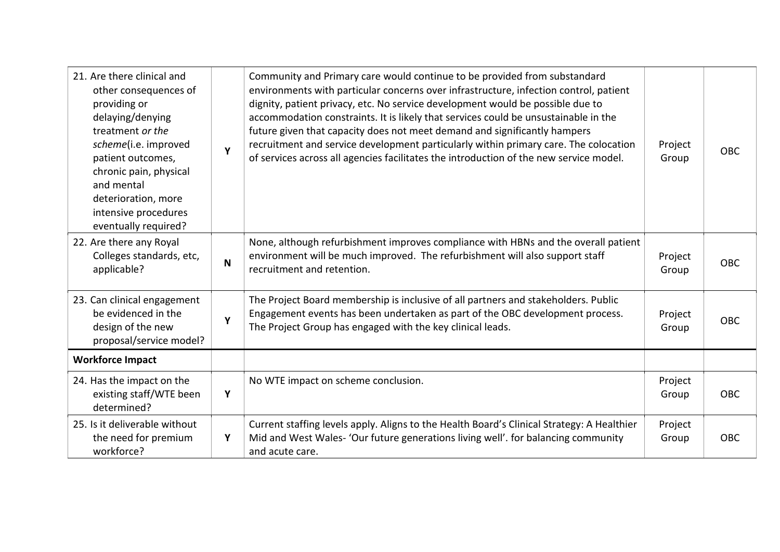| 21. Are there clinical and<br>other consequences of<br>providing or<br>delaying/denying<br>treatment or the<br>scheme(i.e. improved<br>patient outcomes,<br>chronic pain, physical<br>and mental<br>deterioration, more<br>intensive procedures<br>eventually required? | Y           | Community and Primary care would continue to be provided from substandard<br>environments with particular concerns over infrastructure, infection control, patient<br>dignity, patient privacy, etc. No service development would be possible due to<br>accommodation constraints. It is likely that services could be unsustainable in the<br>future given that capacity does not meet demand and significantly hampers<br>recruitment and service development particularly within primary care. The colocation<br>of services across all agencies facilitates the introduction of the new service model. | Project<br>Group | <b>OBC</b> |
|-------------------------------------------------------------------------------------------------------------------------------------------------------------------------------------------------------------------------------------------------------------------------|-------------|------------------------------------------------------------------------------------------------------------------------------------------------------------------------------------------------------------------------------------------------------------------------------------------------------------------------------------------------------------------------------------------------------------------------------------------------------------------------------------------------------------------------------------------------------------------------------------------------------------|------------------|------------|
| 22. Are there any Royal<br>Colleges standards, etc,<br>applicable?                                                                                                                                                                                                      | $\mathbf N$ | None, although refurbishment improves compliance with HBNs and the overall patient<br>environment will be much improved. The refurbishment will also support staff<br>recruitment and retention.                                                                                                                                                                                                                                                                                                                                                                                                           | Project<br>Group | <b>OBC</b> |
| 23. Can clinical engagement<br>be evidenced in the<br>design of the new<br>proposal/service model?                                                                                                                                                                      | Υ           | The Project Board membership is inclusive of all partners and stakeholders. Public<br>Engagement events has been undertaken as part of the OBC development process.<br>The Project Group has engaged with the key clinical leads.                                                                                                                                                                                                                                                                                                                                                                          | Project<br>Group | OBC        |
| <b>Workforce Impact</b>                                                                                                                                                                                                                                                 |             |                                                                                                                                                                                                                                                                                                                                                                                                                                                                                                                                                                                                            |                  |            |
| 24. Has the impact on the<br>existing staff/WTE been<br>determined?                                                                                                                                                                                                     | Y           | No WTE impact on scheme conclusion.                                                                                                                                                                                                                                                                                                                                                                                                                                                                                                                                                                        | Project<br>Group | <b>OBC</b> |
| 25. Is it deliverable without<br>the need for premium<br>workforce?                                                                                                                                                                                                     | Y           | Current staffing levels apply. Aligns to the Health Board's Clinical Strategy: A Healthier<br>Mid and West Wales- 'Our future generations living well'. for balancing community<br>and acute care.                                                                                                                                                                                                                                                                                                                                                                                                         | Project<br>Group | <b>OBC</b> |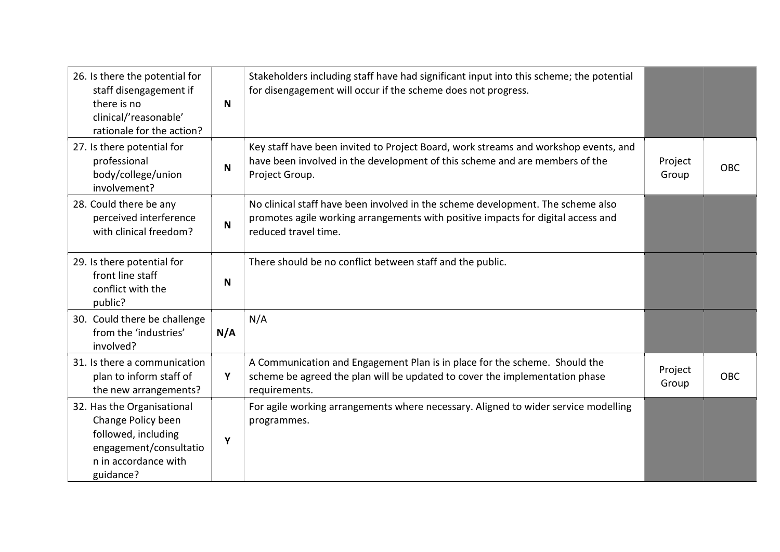| 26. Is there the potential for<br>staff disengagement if<br>there is no<br>clinical/'reasonable'<br>rationale for the action?          | $\mathsf{N}$ | Stakeholders including staff have had significant input into this scheme; the potential<br>for disengagement will occur if the scheme does not progress.                                    |                  |            |
|----------------------------------------------------------------------------------------------------------------------------------------|--------------|---------------------------------------------------------------------------------------------------------------------------------------------------------------------------------------------|------------------|------------|
| 27. Is there potential for<br>professional<br>body/college/union<br>involvement?                                                       | N            | Key staff have been invited to Project Board, work streams and workshop events, and<br>have been involved in the development of this scheme and are members of the<br>Project Group.        | Project<br>Group | <b>OBC</b> |
| 28. Could there be any<br>perceived interference<br>with clinical freedom?                                                             | N            | No clinical staff have been involved in the scheme development. The scheme also<br>promotes agile working arrangements with positive impacts for digital access and<br>reduced travel time. |                  |            |
| 29. Is there potential for<br>front line staff<br>conflict with the<br>public?                                                         | N            | There should be no conflict between staff and the public.                                                                                                                                   |                  |            |
| 30. Could there be challenge<br>from the 'industries'<br>involved?                                                                     | N/A          | N/A                                                                                                                                                                                         |                  |            |
| 31. Is there a communication<br>plan to inform staff of<br>the new arrangements?                                                       | Y            | A Communication and Engagement Plan is in place for the scheme. Should the<br>scheme be agreed the plan will be updated to cover the implementation phase<br>requirements.                  | Project<br>Group | <b>OBC</b> |
| 32. Has the Organisational<br>Change Policy been<br>followed, including<br>engagement/consultatio<br>n in accordance with<br>guidance? | Y            | For agile working arrangements where necessary. Aligned to wider service modelling<br>programmes.                                                                                           |                  |            |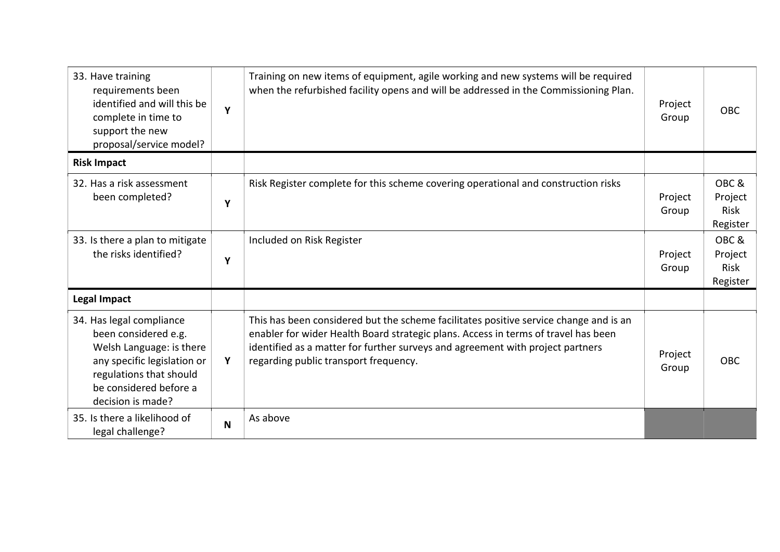| 33. Have training<br>requirements been<br>identified and will this be<br>complete in time to<br>support the new<br>proposal/service model?                                            | Υ | Training on new items of equipment, agile working and new systems will be required<br>when the refurbished facility opens and will be addressed in the Commissioning Plan.                                                                                                                             | Project<br>Group | <b>OBC</b>                                 |
|---------------------------------------------------------------------------------------------------------------------------------------------------------------------------------------|---|--------------------------------------------------------------------------------------------------------------------------------------------------------------------------------------------------------------------------------------------------------------------------------------------------------|------------------|--------------------------------------------|
| <b>Risk Impact</b>                                                                                                                                                                    |   |                                                                                                                                                                                                                                                                                                        |                  |                                            |
| 32. Has a risk assessment<br>been completed?                                                                                                                                          | Υ | Risk Register complete for this scheme covering operational and construction risks                                                                                                                                                                                                                     | Project<br>Group | OBC&<br>Project<br><b>Risk</b><br>Register |
| 33. Is there a plan to mitigate<br>the risks identified?                                                                                                                              | Y | Included on Risk Register                                                                                                                                                                                                                                                                              | Project<br>Group | OBC&<br>Project<br>Risk<br>Register        |
| <b>Legal Impact</b>                                                                                                                                                                   |   |                                                                                                                                                                                                                                                                                                        |                  |                                            |
| 34. Has legal compliance<br>been considered e.g.<br>Welsh Language: is there<br>any specific legislation or<br>regulations that should<br>be considered before a<br>decision is made? | Υ | This has been considered but the scheme facilitates positive service change and is an<br>enabler for wider Health Board strategic plans. Access in terms of travel has been<br>identified as a matter for further surveys and agreement with project partners<br>regarding public transport frequency. | Project<br>Group | <b>OBC</b>                                 |
| 35. Is there a likelihood of<br>legal challenge?                                                                                                                                      | N | As above                                                                                                                                                                                                                                                                                               |                  |                                            |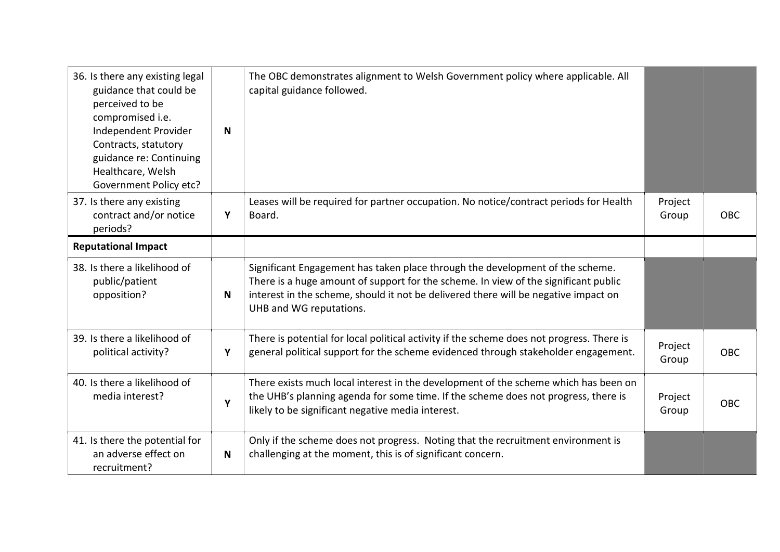| 36. Is there any existing legal<br>guidance that could be<br>perceived to be<br>compromised i.e.<br>Independent Provider<br>Contracts, statutory<br>guidance re: Continuing<br>Healthcare, Welsh<br>Government Policy etc? | N           | The OBC demonstrates alignment to Welsh Government policy where applicable. All<br>capital guidance followed.                                                                                                                                                                          |                  |            |
|----------------------------------------------------------------------------------------------------------------------------------------------------------------------------------------------------------------------------|-------------|----------------------------------------------------------------------------------------------------------------------------------------------------------------------------------------------------------------------------------------------------------------------------------------|------------------|------------|
| 37. Is there any existing<br>contract and/or notice<br>periods?                                                                                                                                                            | Y           | Leases will be required for partner occupation. No notice/contract periods for Health<br>Board.                                                                                                                                                                                        | Project<br>Group | <b>OBC</b> |
| <b>Reputational Impact</b>                                                                                                                                                                                                 |             |                                                                                                                                                                                                                                                                                        |                  |            |
| 38. Is there a likelihood of<br>public/patient<br>opposition?                                                                                                                                                              | $\mathbf N$ | Significant Engagement has taken place through the development of the scheme.<br>There is a huge amount of support for the scheme. In view of the significant public<br>interest in the scheme, should it not be delivered there will be negative impact on<br>UHB and WG reputations. |                  |            |
| 39. Is there a likelihood of<br>political activity?                                                                                                                                                                        | Y           | There is potential for local political activity if the scheme does not progress. There is<br>general political support for the scheme evidenced through stakeholder engagement.                                                                                                        | Project<br>Group | <b>OBC</b> |
| 40. Is there a likelihood of<br>media interest?                                                                                                                                                                            | Y           | There exists much local interest in the development of the scheme which has been on<br>the UHB's planning agenda for some time. If the scheme does not progress, there is<br>likely to be significant negative media interest.                                                         | Project<br>Group | OBC        |
| 41. Is there the potential for<br>an adverse effect on<br>recruitment?                                                                                                                                                     | N           | Only if the scheme does not progress. Noting that the recruitment environment is<br>challenging at the moment, this is of significant concern.                                                                                                                                         |                  |            |